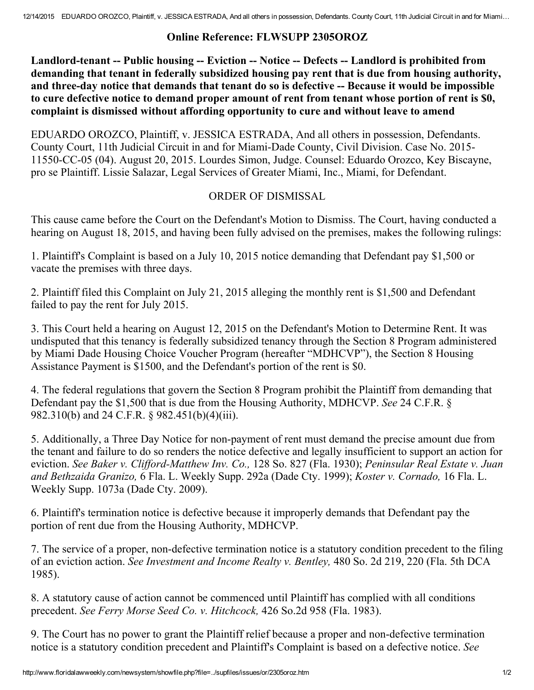## Online Reference: FLWSUPP 2305OROZ

Landlord-tenant -- Public housing -- Eviction -- Notice -- Defects -- Landlord is prohibited from demanding that tenant in federally subsidized housing pay rent that is due from housing authority, and three-day notice that demands that tenant do so is defective -- Because it would be impossible to cure defective notice to demand proper amount of rent from tenant whose portion of rent is \$0, complaint is dismissed without affording opportunity to cure and without leave to amend

EDUARDO OROZCO, Plaintiff, v. JESSICA ESTRADA, And all others in possession, Defendants. County Court, 11th Judicial Circuit in and for Miami-Dade County, Civil Division. Case No. 2015-11550-CC-05 (04). August 20, 2015. Lourdes Simon, Judge. Counsel: Eduardo Orozco, Key Biscayne, pro se Plaintiff. Lissie Salazar, Legal Services of Greater Miami, Inc., Miami, for Defendant.

## ORDER OF DISMISSAL

This cause came before the Court on the Defendant's Motion to Dismiss. The Court, having conducted a hearing on August 18, 2015, and having been fully advised on the premises, makes the following rulings:

1. Plaintiff's Complaint is based on a July 10, 2015 notice demanding that Defendant pay \$1,500 or vacate the premises with three days.

2. Plaintiff filed this Complaint on July 21, 2015 alleging the monthly rent is \$1,500 and Defendant failed to pay the rent for July 2015.

3. This Court held a hearing on August 12, 2015 on the Defendant's Motion to Determine Rent. It was undisputed that this tenancy is federally subsidized tenancy through the Section 8 Program administered by Miami Dade Housing Choice Voucher Program (hereafter "MDHCVP"), the Section 8 Housing Assistance Payment is \$1500, and the Defendant's portion of the rent is \$0.

4. The federal regulations that govern the Section 8 Program prohibit the Plaintiff from demanding that Defendant pay the \$1,500 that is due from the Housing Authority, MDHCVP. See 24 C.F.R. § 982.310(b) and 24 C.F.R. § 982.451(b)(4)(iii).

5. Additionally, a Three Day Notice for non-payment of rent must demand the precise amount due from the tenant and failure to do so renders the notice defective and legally insufficient to support an action for eviction. See Baker v. Clifford-Matthew Inv. Co., 128 So. 827 (Fla. 1930); Peninsular Real Estate v. Juan and Bethzaida Granizo, 6 Fla. L. Weekly Supp. 292a (Dade Cty. 1999); Koster v. Cornado, 16 Fla. L. Weekly Supp. 1073a (Dade Cty. 2009).

6. Plaintiff's termination notice is defective because it improperly demands that Defendant pay the portion of rent due from the Housing Authority, MDHCVP.

7. The service of a proper, non-defective termination notice is a statutory condition precedent to the filing of an eviction action. See Investment and Income Realty v. Bentley, 480 So. 2d 219, 220 (Fla. 5th DCA 1985).

8. A statutory cause of action cannot be commenced until Plaintiff has complied with all conditions precedent. See Ferry Morse Seed Co. v. Hitchcock, 426 So.2d 958 (Fla. 1983).

9. The Court has no power to grant the Plaintiff relief because a proper and non-defective termination notice is a statutory condition precedent and Plaintiff's Complaint is based on a defective notice. See